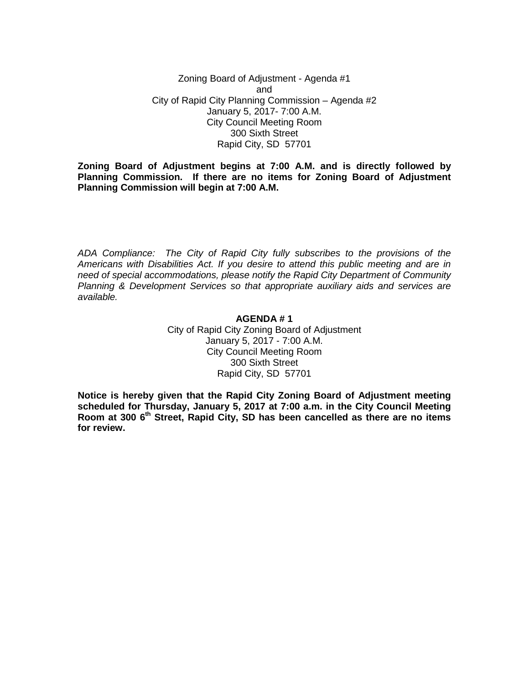Zoning Board of Adjustment - Agenda #1 and City of Rapid City Planning Commission – Agenda #2 January 5, 2017- 7:00 A.M. City Council Meeting Room 300 Sixth Street Rapid City, SD 57701

**Zoning Board of Adjustment begins at 7:00 A.M. and is directly followed by Planning Commission. If there are no items for Zoning Board of Adjustment Planning Commission will begin at 7:00 A.M.**

*ADA Compliance: The City of Rapid City fully subscribes to the provisions of the Americans with Disabilities Act. If you desire to attend this public meeting and are in need of special accommodations, please notify the Rapid City Department of Community Planning & Development Services so that appropriate auxiliary aids and services are available.*

### **AGENDA # 1** City of Rapid City Zoning Board of Adjustment January 5, 2017 - 7:00 A.M. City Council Meeting Room 300 Sixth Street Rapid City, SD 57701

**Notice is hereby given that the Rapid City Zoning Board of Adjustment meeting scheduled for Thursday, January 5, 2017 at 7:00 a.m. in the City Council Meeting Room at 300 6th Street, Rapid City, SD has been cancelled as there are no items for review.**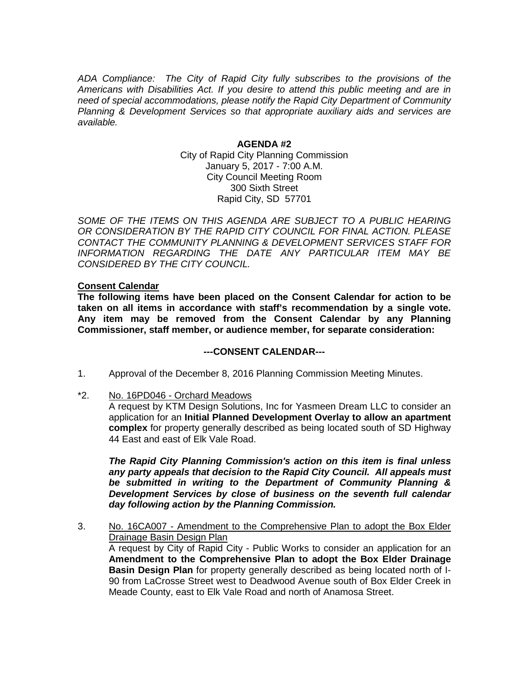*ADA Compliance: The City of Rapid City fully subscribes to the provisions of the Americans with Disabilities Act. If you desire to attend this public meeting and are in need of special accommodations, please notify the Rapid City Department of Community Planning & Development Services so that appropriate auxiliary aids and services are available.*

#### **AGENDA #2**

City of Rapid City Planning Commission January 5, 2017 - 7:00 A.M. City Council Meeting Room 300 Sixth Street Rapid City, SD 57701

SOME OF THE ITEMS ON THIS AGENDA ARE SUBJECT TO A PUBLIC HEARING *OR CONSIDERATION BY THE RAPID CITY COUNCIL FOR FINAL ACTION. PLEASE CONTACT THE COMMUNITY PLANNING & DEVELOPMENT SERVICES STAFF FOR INFORMATION REGARDING THE DATE ANY PARTICULAR ITEM MAY BE CONSIDERED BY THE CITY COUNCIL.*

# **Consent Calendar**

**The following items have been placed on the Consent Calendar for action to be taken on all items in accordance with staff's recommendation by a single vote. Any item may be removed from the Consent Calendar by any Planning Commissioner, staff member, or audience member, for separate consideration:**

### **---CONSENT CALENDAR---**

- 1. Approval of the December 8, 2016 Planning Commission Meeting Minutes.
- \*2. No. 16PD046 Orchard Meadows

A request by KTM Design Solutions, Inc for Yasmeen Dream LLC to consider an application for an **Initial Planned Development Overlay to allow an apartment complex** for property generally described as being located south of SD Highway 44 East and east of Elk Vale Road.

*The Rapid City Planning Commission's action on this item is final unless any party appeals that decision to the Rapid City Council. All appeals must be submitted in writing to the Department of Community Planning & Development Services by close of business on the seventh full calendar day following action by the Planning Commission.*

3. No. 16CA007 - Amendment to the Comprehensive Plan to adopt the Box Elder Drainage Basin Design Plan A request by City of Rapid City - Public Works to consider an application for an **Amendment to the Comprehensive Plan to adopt the Box Elder Drainage Basin Design Plan** for property generally described as being located north of I-90 from LaCrosse Street west to Deadwood Avenue south of Box Elder Creek in Meade County, east to Elk Vale Road and north of Anamosa Street.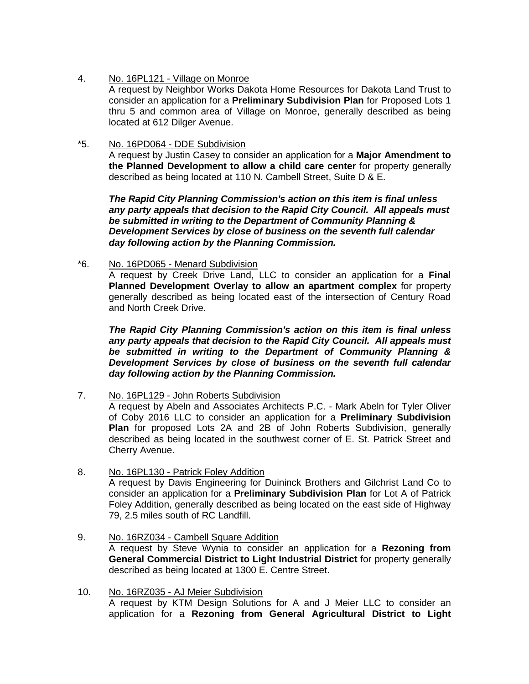4. No. 16PL121 - Village on Monroe

A request by Neighbor Works Dakota Home Resources for Dakota Land Trust to consider an application for a **Preliminary Subdivision Plan** for Proposed Lots 1 thru 5 and common area of Village on Monroe, generally described as being located at 612 Dilger Avenue.

\*5. No. 16PD064 - DDE Subdivision

A request by Justin Casey to consider an application for a **Major Amendment to the Planned Development to allow a child care center** for property generally described as being located at 110 N. Cambell Street, Suite D & E.

*The Rapid City Planning Commission's action on this item is final unless any party appeals that decision to the Rapid City Council. All appeals must be submitted in writing to the Department of Community Planning & Development Services by close of business on the seventh full calendar day following action by the Planning Commission.*

\*6. No. 16PD065 - Menard Subdivision

A request by Creek Drive Land, LLC to consider an application for a **Final Planned Development Overlay to allow an apartment complex** for property generally described as being located east of the intersection of Century Road and North Creek Drive.

*The Rapid City Planning Commission's action on this item is final unless any party appeals that decision to the Rapid City Council. All appeals must be submitted in writing to the Department of Community Planning & Development Services by close of business on the seventh full calendar day following action by the Planning Commission.*

7. No. 16PL129 - John Roberts Subdivision

A request by Abeln and Associates Architects P.C. - Mark Abeln for Tyler Oliver of Coby 2016 LLC to consider an application for a **Preliminary Subdivision Plan** for proposed Lots 2A and 2B of John Roberts Subdivision, generally described as being located in the southwest corner of E. St. Patrick Street and Cherry Avenue.

8. No. 16PL130 - Patrick Foley Addition

A request by Davis Engineering for Duininck Brothers and Gilchrist Land Co to consider an application for a **Preliminary Subdivision Plan** for Lot A of Patrick Foley Addition, generally described as being located on the east side of Highway 79, 2.5 miles south of RC Landfill.

- 9. No. 16RZ034 Cambell Square Addition A request by Steve Wynia to consider an application for a **Rezoning from General Commercial District to Light Industrial District** for property generally described as being located at 1300 E. Centre Street.
- 10. No. 16RZ035 AJ Meier Subdivision A request by KTM Design Solutions for A and J Meier LLC to consider an application for a **Rezoning from General Agricultural District to Light**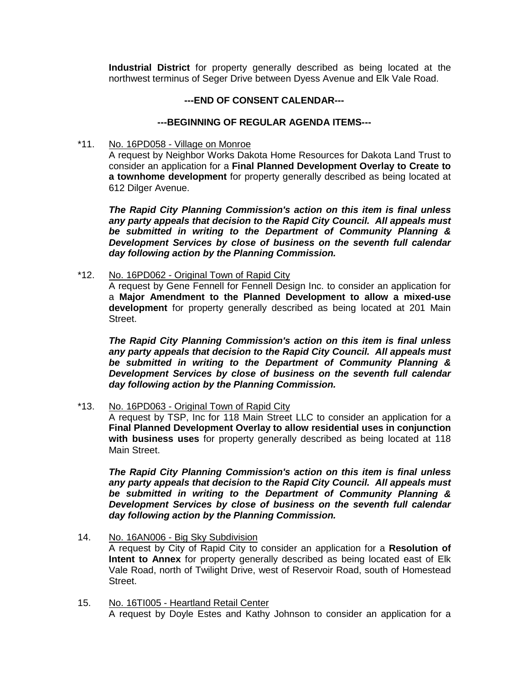**Industrial District** for property generally described as being located at the northwest terminus of Seger Drive between Dyess Avenue and Elk Vale Road.

# **---END OF CONSENT CALENDAR---**

# **---BEGINNING OF REGULAR AGENDA ITEMS---**

\*11. No. 16PD058 - Village on Monroe

A request by Neighbor Works Dakota Home Resources for Dakota Land Trust to consider an application for a **Final Planned Development Overlay to Create to a townhome development** for property generally described as being located at 612 Dilger Avenue.

*The Rapid City Planning Commission's action on this item is final unless any party appeals that decision to the Rapid City Council. All appeals must be submitted in writing to the Department of Community Planning & Development Services by close of business on the seventh full calendar day following action by the Planning Commission.*

\*12. No. 16PD062 - Original Town of Rapid City

A request by Gene Fennell for Fennell Design Inc. to consider an application for a **Major Amendment to the Planned Development to allow a mixed-use development** for property generally described as being located at 201 Main Street.

*The Rapid City Planning Commission's action on this item is final unless any party appeals that decision to the Rapid City Council. All appeals must be submitted in writing to the Department of Community Planning & Development Services by close of business on the seventh full calendar day following action by the Planning Commission.*

\*13. No. 16PD063 - Original Town of Rapid City

A request by TSP, Inc for 118 Main Street LLC to consider an application for a **Final Planned Development Overlay to allow residential uses in conjunction with business uses** for property generally described as being located at 118 Main Street.

*The Rapid City Planning Commission's action on this item is final unless any party appeals that decision to the Rapid City Council. All appeals must be submitted in writing to the Department of Community Planning & Development Services by close of business on the seventh full calendar day following action by the Planning Commission.*

- 14. No. 16AN006 Big Sky Subdivision A request by City of Rapid City to consider an application for a **Resolution of Intent to Annex** for property generally described as being located east of Elk Vale Road, north of Twilight Drive, west of Reservoir Road, south of Homestead Street.
- 15. No. 16TI005 Heartland Retail Center A request by Doyle Estes and Kathy Johnson to consider an application for a